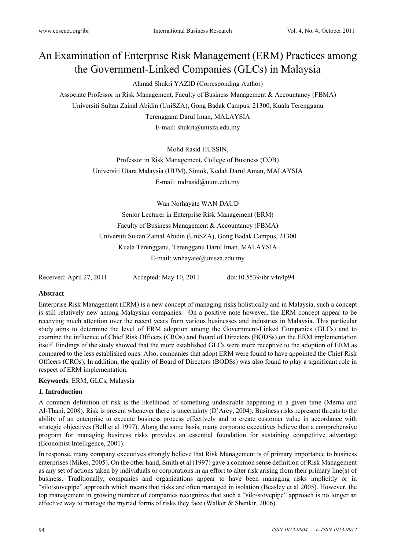# An Examination of Enterprise Risk Management (ERM) Practices among the Government-Linked Companies (GLCs) in Malaysia

# Ahmad Shukri YAZID (Corresponding Author)

Associate Professor in Risk Management, Faculty of Business Management & Accountancy (FBMA) Universiti Sultan Zainal Abidin (UniSZA), Gong Badak Campus, 21300, Kuala Terengganu Terengganu Darul Iman, MALAYSIA E-mail: shukri@unisza.edu.my

> Mohd Rasid HUSSIN, Professor in Risk Management, College of Business (COB) Universiti Utara Malaysia (UUM), Sintok, Kedah Darul Aman, MALAYSIA E-mail: mdrasid@uum.edu.my

Wan Norhayate WAN DAUD Senior Lecturer in Enterprise Risk Management (ERM) Faculty of Business Management & Accountancy (FBMA) Universiti Sultan Zainal Abidin (UniSZA), Gong Badak Campus, 21300 Kuala Terengganu, Terengganu Darul Iman, MALAYSIA E-mail: wnhayate@unisza.edu.my

Received: April 27, 2011 Accepted: May 10, 2011 doi:10.5539/ibr.v4n4p94

## **Abstract**

Enterprise Risk Management (ERM) is a new concept of managing risks holistically and in Malaysia, such a concept is still relatively new among Malaysian companies. On a positive note however, the ERM concept appear to be receiving much attention over the recent years from various businesses and industries in Malaysia. This particular study aims to determine the level of ERM adoption among the Government-Linked Companies (GLCs) and to examine the influence of Chief Risk Officers (CROs) and Board of Directors (BODSs) on the ERM implementation itself. Findings of the study showed that the more established GLCs were more receptive to the adoption of ERM as compared to the less established ones. Also, companies that adopt ERM were found to have appointed the Chief Risk Officers (CROs). In addition, the quality of Board of Directors (BODSs) was also found to play a significant role in respect of ERM implementation.

## **Keywords**: ERM, GLCs, Malaysia

## **1. Introduction**

A common definition of risk is the likelihood of something undesirable happening in a given time (Merna and Al-Thani, 2008). Risk is present whenever there is uncertainty (D'Arcy, 2004). Business risks represent threats to the ability of an enterprise to execute business process effectively and to create customer value in accordance with strategic objectives (Bell et al 1997). Along the same basis, many corporate executives believe that a comprehensive program for managing business risks provides an essential foundation for sustaining competitive advantage (Economist Intelligence, 2001).

In response, many company executives strongly believe that Risk Management is of primary importance to business enterprises (Mikes, 2005). On the other hand, Smith et al (1997) gave a common sense definition of Risk Management as any set of actions taken by individuals or corporations in an effort to alter risk arising from their primary line(s) of business. Traditionally, companies and organizations appear to have been managing risks implicitly or in "silo/stovepipe" approach which means that risks are often managed in isolation (Beasley et al 2005). However, the top management in growing number of companies recognizes that such a "silo/stovepipe" approach is no longer an effective way to manage the myriad forms of risks they face (Walker  $\&$  Shenkir, 2006).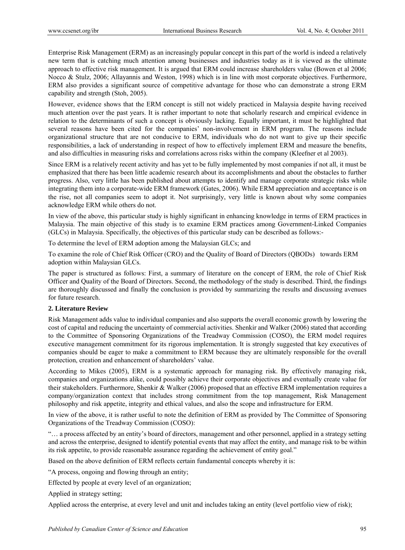Enterprise Risk Management (ERM) as an increasingly popular concept in this part of the world is indeed a relatively new term that is catching much attention among businesses and industries today as it is viewed as the ultimate approach to effective risk management. It is argued that ERM could increase shareholders value (Bowen et al 2006; Nocco & Stulz, 2006; Allayannis and Weston, 1998) which is in line with most corporate objectives. Furthermore, ERM also provides a significant source of competitive advantage for those who can demonstrate a strong ERM capability and strength (Stoh, 2005).

However, evidence shows that the ERM concept is still not widely practiced in Malaysia despite having received much attention over the past years. It is rather important to note that scholarly research and empirical evidence in relation to the determinants of such a concept is obviously lacking. Equally important, it must be highlighted that several reasons have been cited for the companies' non-involvement in ERM program. The reasons include organizational structure that are not conducive to ERM, individuals who do not want to give up their specific responsibilities, a lack of understanding in respect of how to effectively implement ERM and measure the benefits, and also difficulties in measuring risks and correlations across risks within the company (Kleefner et al 2003).

Since ERM is a relatively recent activity and has yet to be fully implemented by most companies if not all, it must be emphasized that there has been little academic research about its accomplishments and about the obstacles to further progress. Also, very little has been published about attempts to identify and manage corporate strategic risks while integrating them into a corporate-wide ERM framework (Gates, 2006). While ERM appreciation and acceptance is on the rise, not all companies seem to adopt it. Not surprisingly, very little is known about why some companies acknowledge ERM while others do not.

In view of the above, this particular study is highly significant in enhancing knowledge in terms of ERM practices in Malaysia. The main objective of this study is to examine ERM practices among Government-Linked Companies (GLCs) in Malaysia. Specifically, the objectives of this particular study can be described as follows:-

To determine the level of ERM adoption among the Malaysian GLCs; and

To examine the role of Chief Risk Officer (CRO) and the Quality of Board of Directors (QBODs) towards ERM adoption within Malaysian GLCs.

The paper is structured as follows: First, a summary of literature on the concept of ERM, the role of Chief Risk Officer and Quality of the Board of Directors. Second, the methodology of the study is described. Third, the findings are thoroughly discussed and finally the conclusion is provided by summarizing the results and discussing avenues for future research.

## **2. Literature Review**

Risk Management adds value to individual companies and also supports the overall economic growth by lowering the cost of capital and reducing the uncertainty of commercial activities. Shenkir and Walker (2006) stated that according to the Committee of Sponsoring Organizations of the Treadway Commission (COSO), the ERM model requires executive management commitment for its rigorous implementation. It is strongly suggested that key executives of companies should be eager to make a commitment to ERM because they are ultimately responsible for the overall protection, creation and enhancement of shareholders' value.

According to Mikes (2005), ERM is a systematic approach for managing risk. By effectively managing risk, companies and organizations alike, could possibly achieve their corporate objectives and eventually create value for their stakeholders. Furthermore, Shenkir & Walker (2006) proposed that an effective ERM implementation requires a company/organization context that includes strong commitment from the top management, Risk Management philosophy and risk appetite, integrity and ethical values, and also the scope and infrastructure for ERM.

In view of the above, it is rather useful to note the definition of ERM as provided by The Committee of Sponsoring Organizations of the Treadway Commission (COSO):

"… a process affected by an entity's board of directors, management and other personnel, applied in a strategy setting and across the enterprise, designed to identify potential events that may affect the entity, and manage risk to be within its risk appetite, to provide reasonable assurance regarding the achievement of entity goal."

Based on the above definition of ERM reflects certain fundamental concepts whereby it is:

"A process, ongoing and flowing through an entity;

Effected by people at every level of an organization;

Applied in strategy setting;

Applied across the enterprise, at every level and unit and includes taking an entity (level portfolio view of risk);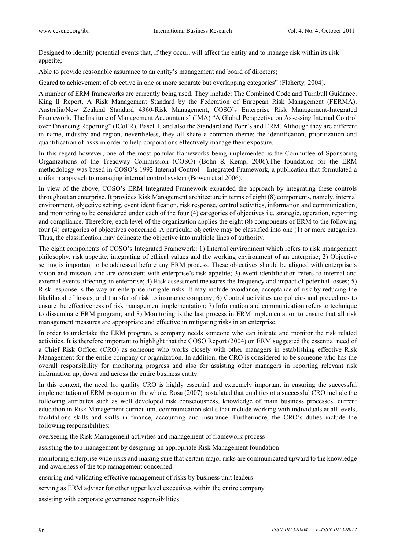Designed to identify potential events that, if they occur, will affect the entity and to manage risk within its risk appetite;

Able to provide reasonable assurance to an entity's management and board of directors;

Geared to achievement of objective in one or more separate but overlapping categories" (Flaherty*,* 2004).

A number of ERM frameworks are currently being used. They include: The Combined Code and Turnbull Guidance, King ll Report, A Risk Management Standard by the Federation of European Risk Management (FERMA), Australia/New Zealand Standard 4360-Risk Management, COSO's Enterprise Risk Management-Integrated Framework, The Institute of Management Accountants' (IMA) "A Global Perspective on Assessing Internal Control over Financing Reporting" (ICoFR), Basel ll, and also the Standard and Poor's and ERM. Although they are different in name, industry and region, nevertheless, they all share a common theme: the identification, prioritization and quantification of risks in order to help corporations effectively manage their exposure.

In this regard however, one of the most popular frameworks being implemented is the Committee of Sponsoring Organizations of the Treadway Commission (COSO) (Bohn & Kemp, 2006).The foundation for the ERM methodology was based in COSO's 1992 Internal Control – Integrated Framework, a publication that formulated a uniform approach to managing internal control system (Bowen et al 2006).

In view of the above, COSO's ERM Integrated Framework expanded the approach by integrating these controls throughout an enterprise. It provides Risk Management architecture in terms of eight (8) components, namely, internal environment, objective setting, event identification, risk response, control activities, information and communication, and monitoring to be considered under each of the four (4) categories of objectives i.e. strategic, operation, reporting and compliance. Therefore, each level of the organization applies the eight (8) components of ERM to the following four (4) categories of objectives concerned. A particular objective may be classified into one (1) or more categories. Thus, the classification may delineate the objective into multiple lines of authority.

The eight components of COSO's Integrated Framework: 1) Internal environment which refers to risk management philosophy, risk appetite, integrating of ethical values and the working environment of an enterprise; 2) Objective setting is important to be addressed before any ERM process. These objectives should be aligned with enterprise's vision and mission, and are consistent with enterprise's risk appetite; 3) event identification refers to internal and external events affecting an enterprise; 4) Risk assessment measures the frequency and impact of potential losses; 5) Risk response is the way an enterprise mitigate risks. It may include avoidance, acceptance of risk by reducing the likelihood of losses, and transfer of risk to insurance company; 6) Control activities are policies and procedures to ensure the effectiveness of risk management implementation; 7) Information and communication refers to technique to disseminate ERM program; and 8) Monitoring is the last process in ERM implementation to ensure that all risk management measures are appropriate and effective in mitigating risks in an enterprise.

In order to undertake the ERM program, a company needs someone who can initiate and monitor the risk related activities. It is therefore important to highlight that the COSO Report (2004) on ERM suggested the essential need of a Chief Risk Officer (CRO) as someone who works closely with other managers in establishing effective Risk Management for the entire company or organization. In addition, the CRO is considered to be someone who has the overall responsibility for monitoring progress and also for assisting other managers in reporting relevant risk information up, down and across the entire business entity.

In this context, the need for quality CRO is highly essential and extremely important in ensuring the successful implementation of ERM program on the whole. Rosa (2007) postulated that qualities of a successful CRO include the following attributes such as well developed risk consciousness, knowledge of main business processes, current education in Risk Management curriculum, communication skills that include working with individuals at all levels, facilitations skills and skills in finance, accounting and insurance. Furthermore, the CRO's duties include the following responsibilities:-

overseeing the Risk Management activities and management of framework process

assisting the top management by designing an appropriate Risk Management foundation

monitoring enterprise wide risks and making sure that certain major risks are communicated upward to the knowledge and awareness of the top management concerned

ensuring and validating effective management of risks by business unit leaders

serving as ERM adviser for other upper level executives within the entire company

assisting with corporate governance responsibilities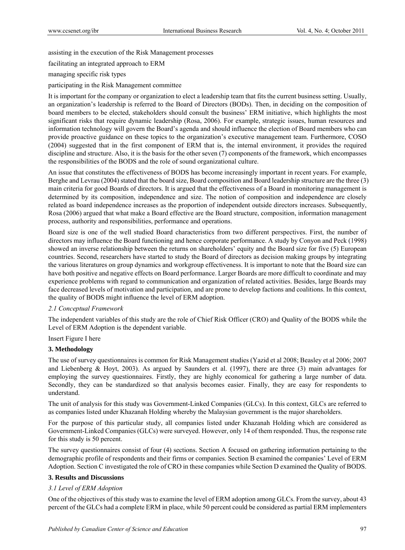assisting in the execution of the Risk Management processes

facilitating an integrated approach to ERM

#### managing specific risk types

participating in the Risk Management committee

It is important for the company or organization to elect a leadership team that fits the current business setting. Usually, an organization's leadership is referred to the Board of Directors (BODs). Then, in deciding on the composition of board members to be elected, stakeholders should consult the business' ERM initiative, which highlights the most significant risks that require dynamic leadership (Rosa, 2006). For example, strategic issues, human resources and information technology will govern the Board's agenda and should influence the election of Board members who can provide proactive guidance on these topics to the organization's executive management team. Furthermore, COSO (2004) suggested that in the first component of ERM that is, the internal environment, it provides the required discipline and structure. Also, it is the basis for the other seven (7) components of the framework, which encompasses the responsibilities of the BODS and the role of sound organizational culture.

An issue that constitutes the effectiveness of BODS has become increasingly important in recent years. For example, Berghe and Levrau (2004) stated that the board size, Board composition and Board leadership structure are the three (3) main criteria for good Boards of directors. It is argued that the effectiveness of a Board in monitoring management is determined by its composition, independence and size. The notion of composition and independence are closely related as board independence increases as the proportion of independent outside directors increases. Subsequently, Rosa (2006) argued that what make a Board effective are the Board structure, composition, information management process, authority and responsibilities, performance and operations.

Board size is one of the well studied Board characteristics from two different perspectives. First, the number of directors may influence the Board functioning and hence corporate performance. A study by Conyon and Peck (1998) showed an inverse relationship between the returns on shareholders' equity and the Board size for five (5) European countries. Second, researchers have started to study the Board of directors as decision making groups by integrating the various literatures on group dynamics and workgroup effectiveness. It is important to note that the Board size can have both positive and negative effects on Board performance. Larger Boards are more difficult to coordinate and may experience problems with regard to communication and organization of related activities. Besides, large Boards may face decreased levels of motivation and participation, and are prone to develop factions and coalitions. In this context, the quality of BODS might influence the level of ERM adoption.

#### *2.1 Conceptual Framework*

The independent variables of this study are the role of Chief Risk Officer (CRO) and Quality of the BODS while the Level of ERM Adoption is the dependent variable.

## Insert Figure I here

#### **3. Methodology**

The use of survey questionnaires is common for Risk Management studies (Yazid et al 2008; Beasley et al 2006; 2007 and Liebenberg & Hoyt, 2003). As argued by Saunders et al. (1997), there are three (3) main advantages for employing the survey questionnaires. Firstly, they are highly economical for gathering a large number of data. Secondly, they can be standardized so that analysis becomes easier. Finally, they are easy for respondents to understand.

The unit of analysis for this study was Government-Linked Companies (GLCs). In this context, GLCs are referred to as companies listed under Khazanah Holding whereby the Malaysian government is the major shareholders.

For the purpose of this particular study, all companies listed under Khazanah Holding which are considered as Government-Linked Companies (GLCs) were surveyed. However, only 14 of them responded. Thus, the response rate for this study is 50 percent.

The survey questionnaires consist of four (4) sections. Section A focused on gathering information pertaining to the demographic profile of respondents and their firms or companies. Section B examined the companies' Level of ERM Adoption. Section C investigated the role of CRO in these companies while Section D examined the Quality of BODS.

## **3. Results and Discussions**

#### *3.1 Level of ERM Adoption*

One of the objectives of this study was to examine the level of ERM adoption among GLCs. From the survey, about 43 percent of the GLCs had a complete ERM in place, while 50 percent could be considered as partial ERM implementers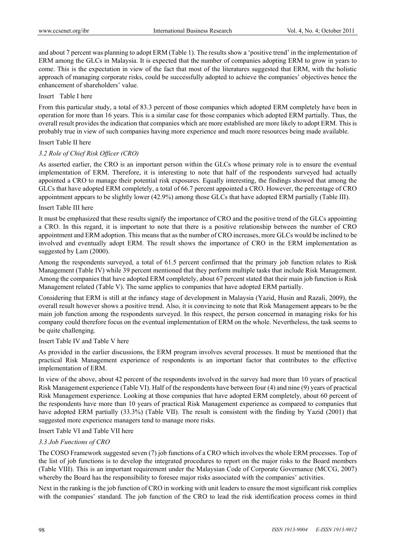and about 7 percent was planning to adopt ERM (Table 1). The results show a 'positive trend' in the implementation of ERM among the GLCs in Malaysia. It is expected that the number of companies adopting ERM to grow in years to come. This is the expectation in view of the fact that most of the literatures suggested that ERM, with the holistic approach of managing corporate risks, could be successfully adopted to achieve the companies' objectives hence the enhancement of shareholders' value.

Insert Table I here

From this particular study, a total of 83.3 percent of those companies which adopted ERM completely have been in operation for more than 16 years. This is a similar case for those companies which adopted ERM partially. Thus, the overall result provides the indication that companies which are more established are more likely to adopt ERM. This is probably true in view of such companies having more experience and much more resources being made available.

#### Insert Table II here

## *3.2 Role of Chief Risk Officer (CRO)*

As asserted earlier, the CRO is an important person within the GLCs whose primary role is to ensure the eventual implementation of ERM. Therefore, it is interesting to note that half of the respondents surveyed had actually appointed a CRO to manage their potential risk exposures. Equally interesting, the findings showed that among the GLCs that have adopted ERM completely, a total of 66.7 percent appointed a CRO. However, the percentage of CRO appointment appears to be slightly lower (42.9%) among those GLCs that have adopted ERM partially (Table III).

#### Insert Table III here

It must be emphasized that these results signify the importance of CRO and the positive trend of the GLCs appointing a CRO. In this regard, it is important to note that there is a positive relationship between the number of CRO appointment and ERM adoption. This means that as the number of CRO increases, more GLCs would be inclined to be involved and eventually adopt ERM. The result shows the importance of CRO in the ERM implementation as suggested by Lam (2000).

Among the respondents surveyed, a total of 61.5 percent confirmed that the primary job function relates to Risk Management (Table IV) while 39 percent mentioned that they perform multiple tasks that include Risk Management. Among the companies that have adopted ERM completely, about 67 percent stated that their main job function is Risk Management related (Table V). The same applies to companies that have adopted ERM partially.

Considering that ERM is still at the infancy stage of development in Malaysia (Yazid, Husin and Razali, 2009), the overall result however shows a positive trend. Also, it is convincing to note that Risk Management appears to be the main job function among the respondents surveyed. In this respect, the person concerned in managing risks for his company could therefore focus on the eventual implementation of ERM on the whole. Nevertheless, the task seems to be quite challenging.

#### Insert Table IV and Table V here

As provided in the earlier discussions, the ERM program involves several processes. It must be mentioned that the practical Risk Management experience of respondents is an important factor that contributes to the effective implementation of ERM.

In view of the above, about 42 percent of the respondents involved in the survey had more than 10 years of practical Risk Management experience (Table VI). Half of the respondents have between four (4) and nine (9) years of practical Risk Management experience. Looking at those companies that have adopted ERM completely, about 60 percent of the respondents have more than 10 years of practical Risk Management experience as compared to companies that have adopted ERM partially (33.3%) (Table VII). The result is consistent with the finding by Yazid (2001) that suggested more experience managers tend to manage more risks.

Insert Table VI and Table VII here

#### *3.3 Job Functions of CRO*

The COSO Framework suggested seven (7) job functions of a CRO which involves the whole ERM processes. Top of the list of job functions is to develop the integrated procedures to report on the major risks to the Board members (Table VIII). This is an important requirement under the Malaysian Code of Corporate Governance (MCCG, 2007) whereby the Board has the responsibility to foresee major risks associated with the companies' activities.

Next in the ranking is the job function of CRO in working with unit leaders to ensure the most significant risk complies with the companies' standard. The job function of the CRO to lead the risk identification process comes in third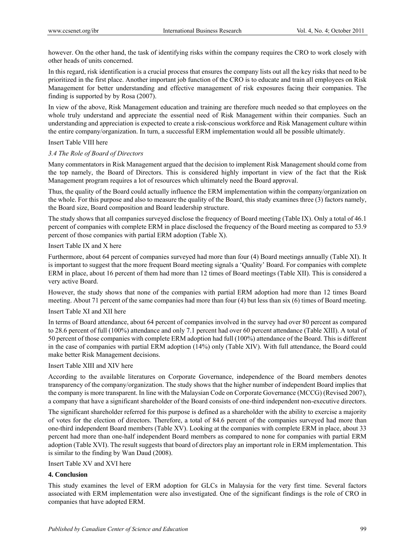however. On the other hand, the task of identifying risks within the company requires the CRO to work closely with other heads of units concerned.

In this regard, risk identification is a crucial process that ensures the company lists out all the key risks that need to be prioritized in the first place. Another important job function of the CRO is to educate and train all employees on Risk Management for better understanding and effective management of risk exposures facing their companies. The finding is supported by by Rosa (2007).

In view of the above, Risk Management education and training are therefore much needed so that employees on the whole truly understand and appreciate the essential need of Risk Management within their companies. Such an understanding and appreciation is expected to create a risk-conscious workforce and Risk Management culture within the entire company/organization. In turn, a successful ERM implementation would all be possible ultimately.

#### Insert Table VIII here

## *3.4 The Role of Board of Directors*

Many commentators in Risk Management argued that the decision to implement Risk Management should come from the top namely, the Board of Directors. This is considered highly important in view of the fact that the Risk Management program requires a lot of resources which ultimately need the Board approval.

Thus, the quality of the Board could actually influence the ERM implementation within the company/organization on the whole. For this purpose and also to measure the quality of the Board, this study examines three (3) factors namely, the Board size, Board composition and Board leadership structure.

The study shows that all companies surveyed disclose the frequency of Board meeting (Table IX). Only a total of 46.1 percent of companies with complete ERM in place disclosed the frequency of the Board meeting as compared to 53.9 percent of those companies with partial ERM adoption (Table X).

#### Insert Table IX and X here

Furthermore, about 64 percent of companies surveyed had more than four (4) Board meetings annually (Table XI). It is important to suggest that the more frequent Board meeting signals a 'Quality' Board. For companies with complete ERM in place, about 16 percent of them had more than 12 times of Board meetings (Table XII). This is considered a very active Board.

However, the study shows that none of the companies with partial ERM adoption had more than 12 times Board meeting. About 71 percent of the same companies had more than four (4) but less than six (6) times of Board meeting.

## Insert Table XI and XII here

In terms of Board attendance, about 64 percent of companies involved in the survey had over 80 percent as compared to 28.6 percent of full (100%) attendance and only 7.1 percent had over 60 percent attendance (Table XIII). A total of 50 percent of those companies with complete ERM adoption had full (100%) attendance of the Board. This is different in the case of companies with partial ERM adoption (14%) only (Table XIV). With full attendance, the Board could make better Risk Management decisions.

## Insert Table XIII and XIV here

According to the available literatures on Corporate Governance, independence of the Board members denotes transparency of the company/organization. The study shows that the higher number of independent Board implies that the company is more transparent. In line with the Malaysian Code on Corporate Governance (MCCG) (Revised 2007), a company that have a significant shareholder of the Board consists of one-third independent non-executive directors.

The significant shareholder referred for this purpose is defined as a shareholder with the ability to exercise a majority of votes for the election of directors. Therefore, a total of 84.6 percent of the companies surveyed had more than one-third independent Board members (Table XV). Looking at the companies with complete ERM in place, about 33 percent had more than one-half independent Board members as compared to none for companies with partial ERM adoption (Table XVI). The result suggests that board of directors play an important role in ERM implementation. This is similar to the finding by Wan Daud (2008).

#### Insert Table XV and XVI here

# **4. Conclusion**

This study examines the level of ERM adoption for GLCs in Malaysia for the very first time. Several factors associated with ERM implementation were also investigated. One of the significant findings is the role of CRO in companies that have adopted ERM.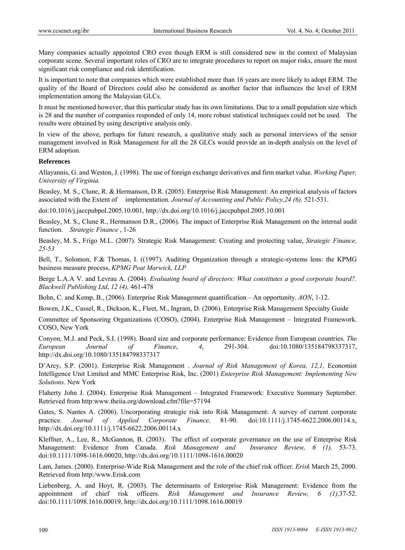Many companies actually appointed CRO even though ERM is still considered new in the context of Malaysian corporate scene. Several important roles of CRO are to integrate procedures to report on major risks, ensure the most significant risk compliance and risk identification.

It is important to note that companies which were established more than 16 years are more likely to adopt ERM. The quality of the Board of Directors could also be considered as another factor that influences the level of ERM implementation among the Malaysian GLCs.

It must be mentioned however, that this particular study has its own limitations. Due to a small population size which is 28 and the number of companies responded of only 14, more robust statistical techniques could not be used. The results were obtained by using descriptive analysis only.

In view of the above, perhaps for future research, a qualitative study such as personal interviews of the senior management involved in Risk Management for all the 28 GLCs would provide an in-depth analysis on the level of ERM adoption.

# **References**

Allayannis, G. and Weston, J. (1998). The use of foreign exchange derivatives and firm market value. *Working Paper, University of Virginia.* 

Beasley, M. S., Clune, R. & Hermanson, D.R. (2005). Enterprise Risk Management: An empirical analysis of factors associated with the Extent of implementation. *Journal of Accounting and Public Policy,24 (6),* 521-531.

doi:10.1016/j.jaccpubpol.2005.10.001, http://dx.doi.org/10.1016/j.jaccpubpol.2005.10.001

Beasley, M. S., Clune R., Hermanson D.R., (2006). The impact of Enterprise Risk Management on the internal audit function. *Strategic Finance* , 1-26

Beasley, M. S., Frigo M.L. (2007). Strategic Risk Management: Creating and protecting value, *Strategic Finance, 25-53*

Bell, T., Solomon, F.& Thomas, I. ((1997). Auditing Organization through a strategic-systems lens: the KPMG business measure process, *KPMG Peat Marwick, LLP* 

Berge L.A.A V. and Levrau A. (2004). *Evaluating board of directors: What constitutes a good corporate board?. Blackwell Publishing Ltd*, *12 (4),* 461-478

Bohn, C. and Kemp, B., (2006). Enterprise Risk Management quantification – An opportunity. *AON*, 1-12.

Bowen, J.K., Cassel, R., Dickson, K., Fleet, M., Ingram, D. (2006). Enterprise Risk Management Specialty Guide

Committee of Sponsoring Organizations (COSO), (2004). Enterprise Risk Management – Integrated Framework. COSO, New York

Conyon, M.J. and Peck, S.I. (1998). Board size and corporate performance: Evidence from European countries. *The European Journal of Finance*, *4*, 291-304. doi:10.1080/135184798337317, http://dx.doi.org/10.1080/135184798337317

D'Arcy, S.P. (2001). Enterprise Risk Management . *Journal of Risk Management of Korea, 12,1,* Economist Intelligence Unit Limited and MMC Enterprise Risk, Inc. (2001) *Enterprise Risk Management: Implementing New Solutions*. New York

Flaherty John J. (2004). Enterprise Risk Management – Integrated Framework: Executive Summary September. Retrieved from http:www.theiia.org/download.cfm?file=57194

Gates, S. Nantes A. (2006). Uncorporating strategic risk into Risk Management: A survey of current corporate practice. *Journal of Applied Corporate Finance,* 81-90. doi:10.1111/j.1745-6622.2006.00114.x, http://dx.doi.org/10.1111/j.1745-6622.2006.00114.x

Kleffner, A., Lee, R., McGannon, B. (2003). The effect of corporate governance on the use of Enterprise Risk Management: Evidence from Canada. *Risk Management and Insurance Review, 6 (1),* 53-73. doi:10.1111/1098-1616.00020, http://dx.doi.org/10.1111/1098-1616.00020

Lam, James. (2000). Enterprise-Wide Risk Management and the role of the chief risk officer. *Erisk* March 25, 2000. Retrieved from http:/www.Erisk.com

Liebenberg, A. and Hoyt, R. (2003). The determinants of Enterprise Risk Management: Evidence from the appointment of chief risk officers. *Risk Management and Insurance Review, 6 (1),*37-52. doi:10.1111/1098.1616.00019, http://dx.doi.org/10.1111/1098.1616.00019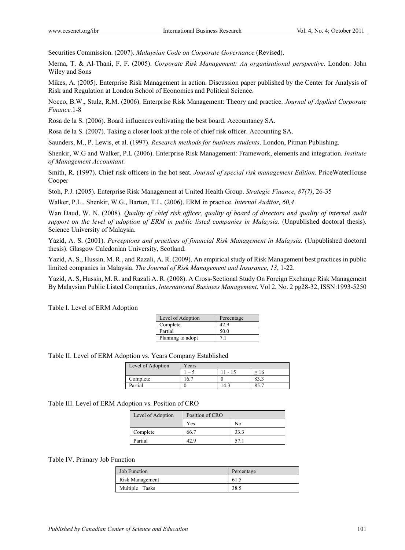Securities Commission. (2007). *Malaysian Code on Corporate Governance* (Revised).

Merna, T. & Al-Thani, F. F. (2005). *Corporate Risk Management: An organisational perspective*. London: John Wiley and Sons

Mikes, A. (2005). Enterprise Risk Management in action. Discussion paper published by the Center for Analysis of Risk and Regulation at London School of Economics and Political Science.

Nocco, B.W., Stulz, R.M. (2006). Enterprise Risk Management: Theory and practice. *Journal of Applied Corporate Finance.*1-8

Rosa de la S. (2006). Board influences cultivating the best board. Accountancy SA.

Rosa de la S. (2007). Taking a closer look at the role of chief risk officer. Accounting SA.

Saunders, M., P. Lewis, et al. (1997). *Research methods for business students*. London, Pitman Publishing.

Shenkir, W.G and Walker, P.L (2006). Enterprise Risk Management: Framework, elements and integration. *Institute of Management Accountant.* 

Smith, R. (1997). Chief risk officers in the hot seat. *Journal of special risk management Edition.* PriceWaterHouse Cooper

Stoh, P.J. (2005). Enterprise Risk Management at United Health Group. *Strategic Finance, 87(7)*, 26-35

Walker, P.L., Shenkir, W.G., Barton, T.L. (2006). ERM in practice. *Internal Auditor, 60,4*.

Wan Daud, W. N. (2008). *Quality of chief risk officer, quality of board of directors and quality of internal audit support on the level of adoption of ERM in public listed companies in Malaysia.* (Unpublished doctoral thesis). Science University of Malaysia.

Yazid, A. S. (2001). *Perceptions and practices of financial Risk Management in Malaysia*. (Unpublished doctoral thesis). Glasgow Caledonian University, Scotland.

Yazid, A. S., Hussin, M. R., and Razali, A. R. (2009). An empirical study of Risk Management best practices in public limited companies in Malaysia. *The Journal of Risk Management and Insurance*, *13*, 1-22.

Yazid, A. S, Hussin, M. R. and Razali A. R. (2008). A Cross-Sectional Study On Foreign Exchange Risk Management By Malaysian Public Listed Companies, *International Business Management*, Vol 2, No. 2 pg28-32, ISSN:1993-5250

| Level of Adoption | Percentage |
|-------------------|------------|
| Complete          |            |
| Partial           |            |

Planning to adopt 7.1

Table I. Level of ERM Adoption

Table II. Level of ERM Adoption vs. Years Company Established

| Level of Adoption | Years |           |      |  |
|-------------------|-------|-----------|------|--|
|                   | - ۱   | $11 - 15$ | 16   |  |
| Complete          | 16.7  |           | 83.3 |  |
| Partial           |       | 14.3      |      |  |

#### Table III. Level of ERM Adoption vs. Position of CRO

| Level of Adoption | Position of CRO |      |
|-------------------|-----------------|------|
|                   | Yes             | No   |
| Complete          | 66.7            | 33.3 |
| Partial           | 42.9            |      |

#### Table IV. Primary Job Function

| <b>Job Function</b> | Percentage |
|---------------------|------------|
| Risk Management     | 61.5       |
| Multiple Tasks      | 38.5       |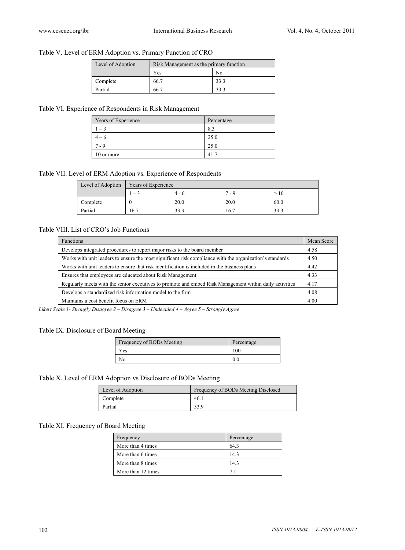# Table V. Level of ERM Adoption vs. Primary Function of CRO

| Level of Adoption | Risk Management as the primary function |      |  |
|-------------------|-----------------------------------------|------|--|
|                   | Yes                                     | No   |  |
| Complete          | 66.7                                    | 33.3 |  |
| Partial           | 66.7                                    | 33.3 |  |

# Table VI. Experience of Respondents in Risk Management

| Years of Experience | Percentage |
|---------------------|------------|
|                     | 8.3        |
| – h                 | 25.0       |
| - 9                 | 25.0       |
| 10 or more          | 41.7       |

# Table VII. Level of ERM Adoption vs. Experience of Respondents

| Level of Adoption | Years of Experience |         |      |      |  |
|-------------------|---------------------|---------|------|------|--|
|                   | $-3$                | $4 - 6$ | 7.9  | >10  |  |
| Complete          |                     | 20.0    | 20.0 | 60.0 |  |
| Partial           | 16.7                | 33.3    | 16.7 | 33.3 |  |

# Table VIII. List of CRO's Job Functions

| <b>Functions</b>                                                                                         | Mean Score |
|----------------------------------------------------------------------------------------------------------|------------|
| Develops integrated procedures to report major risks to the board member                                 |            |
| Works with unit leaders to ensure the most significant risk compliance with the organization's standards | 4.50       |
| Works with unit leaders to ensure that risk identification is included in the business plans             |            |
| Ensures that employees are educated about Risk Management                                                |            |
| Regularly meets with the senior executives to promote and embed Risk Management within daily activities  |            |
| Develops a standardized risk information model to the firm                                               |            |
| Maintains a cost benefit focus on ERM                                                                    | 4.00       |

*Likert Scale 1- Strongly Disagree 2 – Disagree 3 – Undecided 4 – Agree 5 – Strongly Agree* 

# Table IX. Disclosure of Board Meeting

| Frequency of BODs Meeting | Percentage |
|---------------------------|------------|
| Yes                       | 100        |
| No                        | 0.0        |

# Table X. Level of ERM Adoption vs Disclosure of BODs Meeting

| Level of Adoption | Frequency of BODs Meeting Disclosed |
|-------------------|-------------------------------------|
| Complete          | 46.1                                |
| Partial           | 53.9                                |

# Table XI. Frequency of Board Meeting

| Frequency          | Percentage |
|--------------------|------------|
| More than 4 times  | 643        |
| More than 6 times  | 14.3       |
| More than 8 times  | 14.3       |
| More than 12 times |            |